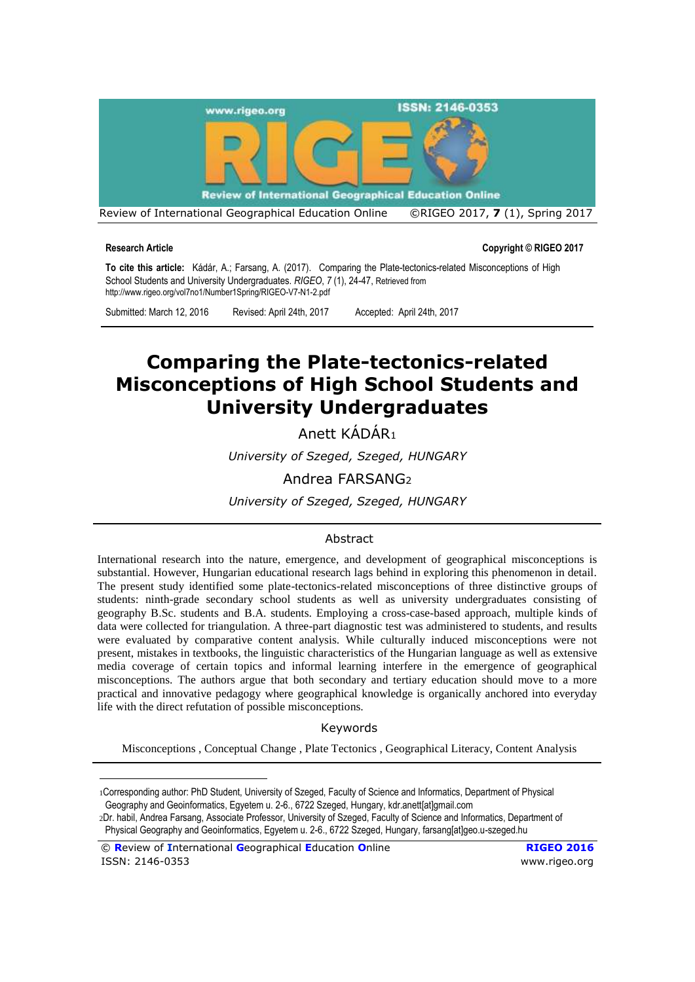

**Research Article Copyright © RIGEO 2017**

**To cite this article:** Kádár, A.; Farsang, A. (2017). Comparing the Plate-tectonics-related Misconceptions of High School Students and University Undergraduates. *RIGEO*, *7* (1), 24-47, Retrieved from http://www.rigeo.org/vol7no1/Number1Spring/RIGEO-V7-N1-2.pdf

Submitted: March 12, 2016 Revised: April 24th, 2017 Accepted: April 24th, 2017

# **Comparing the Plate-tectonics-related Misconceptions of High School Students and University Undergraduates**

Anett KÁDÁR<sup>1</sup>

*University of Szeged, Szeged, HUNGARY*

Andrea FARSANG<sup>2</sup>

*University of Szeged, Szeged, HUNGARY*

#### Abstract

International research into the nature, emergence, and development of geographical misconceptions is substantial. However, Hungarian educational research lags behind in exploring this phenomenon in detail. The present study identified some plate-tectonics-related misconceptions of three distinctive groups of students: ninth-grade secondary school students as well as university undergraduates consisting of geography B.Sc. students and B.A. students. Employing a cross-case-based approach, multiple kinds of data were collected for triangulation. A three-part diagnostic test was administered to students, and results were evaluated by comparative content analysis. While culturally induced misconceptions were not present, mistakes in textbooks, the linguistic characteristics of the Hungarian language as well as extensive media coverage of certain topics and informal learning interfere in the emergence of geographical misconceptions. The authors argue that both secondary and tertiary education should move to a more practical and innovative pedagogy where geographical knowledge is organically anchored into everyday life with the direct refutation of possible misconceptions.

#### Keywords

Misconceptions , Conceptual Change , Plate Tectonics , Geographical Literacy, Content Analysis

1Corresponding author: PhD Student, University of Szeged, Faculty of Science and Informatics, Department of Physical Geography and Geoinformatics, Egyetem u. 2-6., 6722 Szeged, Hungary, kdr.anett[at]gmail.com

2Dr. habil, Andrea Farsang, Associate Professor, University of Szeged, Faculty of Science and Informatics, Department of Physical Geography and Geoinformatics, Egyetem u. 2-6., 6722 Szeged, Hungary, farsang[at]geo.u-szeged.hu

© **R**eview of **I**nternational **G**eographical **E**ducation **O**nline **RIGEO 2016**  ISSN: 2146-0353 [www.rigeo.org](http://www.rigeo.org/)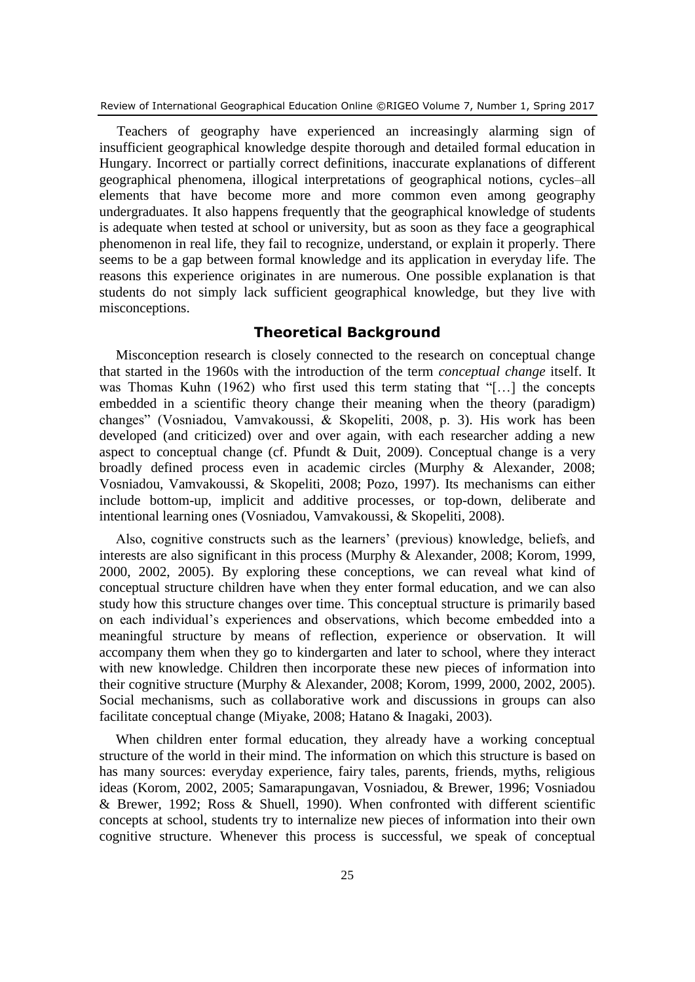Teachers of geography have experienced an increasingly alarming sign of insufficient geographical knowledge despite thorough and detailed formal education in Hungary. Incorrect or partially correct definitions, inaccurate explanations of different geographical phenomena, illogical interpretations of geographical notions, cycles–all elements that have become more and more common even among geography undergraduates. It also happens frequently that the geographical knowledge of students is adequate when tested at school or university, but as soon as they face a geographical phenomenon in real life, they fail to recognize, understand, or explain it properly. There seems to be a gap between formal knowledge and its application in everyday life. The reasons this experience originates in are numerous. One possible explanation is that students do not simply lack sufficient geographical knowledge, but they live with misconceptions.

### **Theoretical Background**

Misconception research is closely connected to the research on conceptual change that started in the 1960s with the introduction of the term *conceptual change* itself. It was Thomas Kuhn (1962) who first used this term stating that "[…] the concepts embedded in a scientific theory change their meaning when the theory (paradigm) changes" (Vosniadou, Vamvakoussi, & Skopeliti, 2008, p. 3). His work has been developed (and criticized) over and over again, with each researcher adding a new aspect to conceptual change (cf. Pfundt & Duit, 2009). Conceptual change is a very broadly defined process even in academic circles (Murphy & Alexander, 2008; Vosniadou, Vamvakoussi, & Skopeliti, 2008; Pozo, 1997). Its mechanisms can either include bottom-up, implicit and additive processes, or top-down, deliberate and intentional learning ones (Vosniadou, Vamvakoussi, & Skopeliti, 2008).

Also, cognitive constructs such as the learners' (previous) knowledge, beliefs, and interests are also significant in this process (Murphy & Alexander, 2008; Korom, 1999, 2000, 2002, 2005). By exploring these conceptions, we can reveal what kind of conceptual structure children have when they enter formal education, and we can also study how this structure changes over time. This conceptual structure is primarily based on each individual's experiences and observations, which become embedded into a meaningful structure by means of reflection, experience or observation. It will accompany them when they go to kindergarten and later to school, where they interact with new knowledge. Children then incorporate these new pieces of information into their cognitive structure (Murphy & Alexander, 2008; Korom, 1999, 2000, 2002, 2005). Social mechanisms, such as collaborative work and discussions in groups can also facilitate conceptual change (Miyake, 2008; Hatano & Inagaki, 2003).

When children enter formal education, they already have a working conceptual structure of the world in their mind. The information on which this structure is based on has many sources: everyday experience, fairy tales, parents, friends, myths, religious ideas (Korom, 2002, 2005; Samarapungavan, Vosniadou, & Brewer, 1996; Vosniadou & Brewer, 1992; Ross & Shuell, 1990). When confronted with different scientific concepts at school, students try to internalize new pieces of information into their own cognitive structure. Whenever this process is successful, we speak of conceptual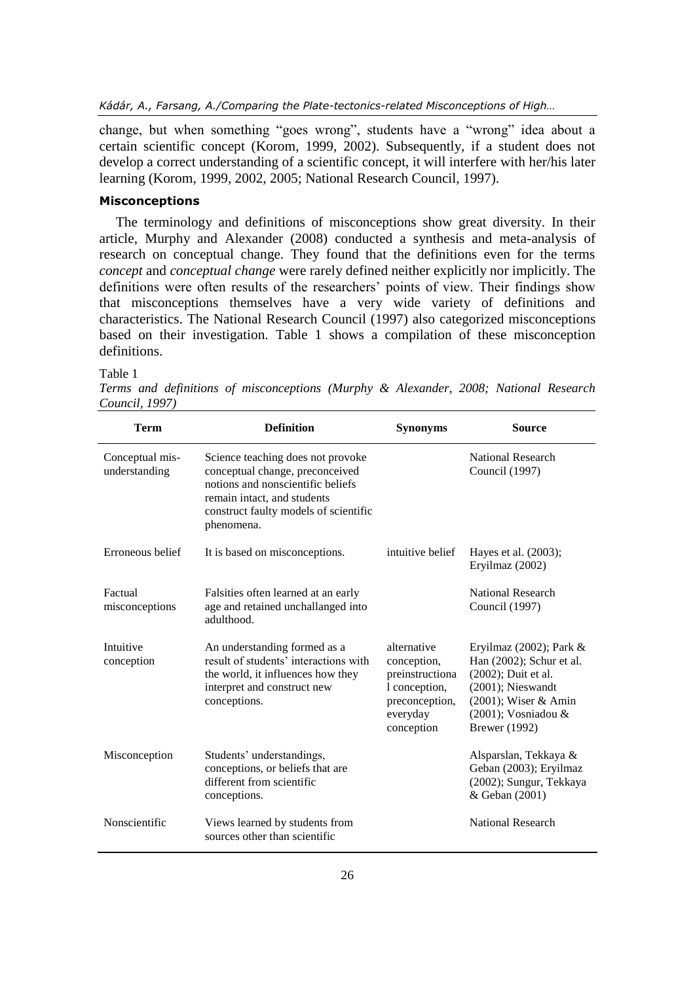*Kádár, A., Farsang, A./Comparing the Plate-tectonics-related Misconceptions of High…*

change, but when something "goes wrong", students have a "wrong" idea about a certain scientific concept (Korom, 1999, 2002). Subsequently, if a student does not develop a correct understanding of a scientific concept, it will interfere with her/his later learning (Korom, 1999, 2002, 2005; National Research Council, 1997).

#### **Misconceptions**

The terminology and definitions of misconceptions show great diversity. In their article, Murphy and Alexander (2008) conducted a synthesis and meta-analysis of research on conceptual change. They found that the definitions even for the terms *concept* and *conceptual change* were rarely defined neither explicitly nor implicitly. The definitions were often results of the researchers' points of view. Their findings show that misconceptions themselves have a very wide variety of definitions and characteristics. The National Research Council (1997) also categorized misconceptions based on their investigation. Table 1 shows a compilation of these misconception definitions.

Table 1

*Terms and definitions of misconceptions (Murphy & Alexander, 2008; National Research Council, 1997)*

| <b>Term</b>                      | <b>Definition</b>                                                                                                                                                                               | <b>Synonyms</b>                                                                                            | <b>Source</b>                                                                                                                                                                  |
|----------------------------------|-------------------------------------------------------------------------------------------------------------------------------------------------------------------------------------------------|------------------------------------------------------------------------------------------------------------|--------------------------------------------------------------------------------------------------------------------------------------------------------------------------------|
| Conceptual mis-<br>understanding | Science teaching does not provoke<br>conceptual change, preconceived<br>notions and nonscientific beliefs<br>remain intact, and students<br>construct faulty models of scientific<br>phenomena. |                                                                                                            | National Research<br>Council (1997)                                                                                                                                            |
| Erroneous belief                 | It is based on misconceptions.                                                                                                                                                                  | intuitive belief                                                                                           | Hayes et al. (2003);<br>Eryilmaz (2002)                                                                                                                                        |
| Factual<br>misconceptions        | Falsities often learned at an early<br>age and retained unchallanged into<br>adulthood.                                                                                                         |                                                                                                            | National Research<br>Council (1997)                                                                                                                                            |
| Intuitive<br>conception          | An understanding formed as a<br>result of students' interactions with<br>the world, it influences how they<br>interpret and construct new<br>conceptions.                                       | alternative<br>conception,<br>preinstructiona<br>1 conception,<br>preconception,<br>everyday<br>conception | Eryilmaz (2002); Park $&$<br>Han (2002); Schur et al.<br>(2002); Duit et al.<br>$(2001)$ ; Nieswandt<br>(2001); Wiser & Amin<br>$(2001)$ ; Vosniadou &<br><b>Brewer</b> (1992) |
| Misconception                    | Students' understandings,<br>conceptions, or beliefs that are<br>different from scientific<br>conceptions.                                                                                      |                                                                                                            | Alsparslan, Tekkaya &<br>Geban (2003); Eryilmaz<br>(2002); Sungur, Tekkaya<br>& Geban (2001)                                                                                   |
| Nonscientific                    | Views learned by students from<br>sources other than scientific                                                                                                                                 |                                                                                                            | National Research                                                                                                                                                              |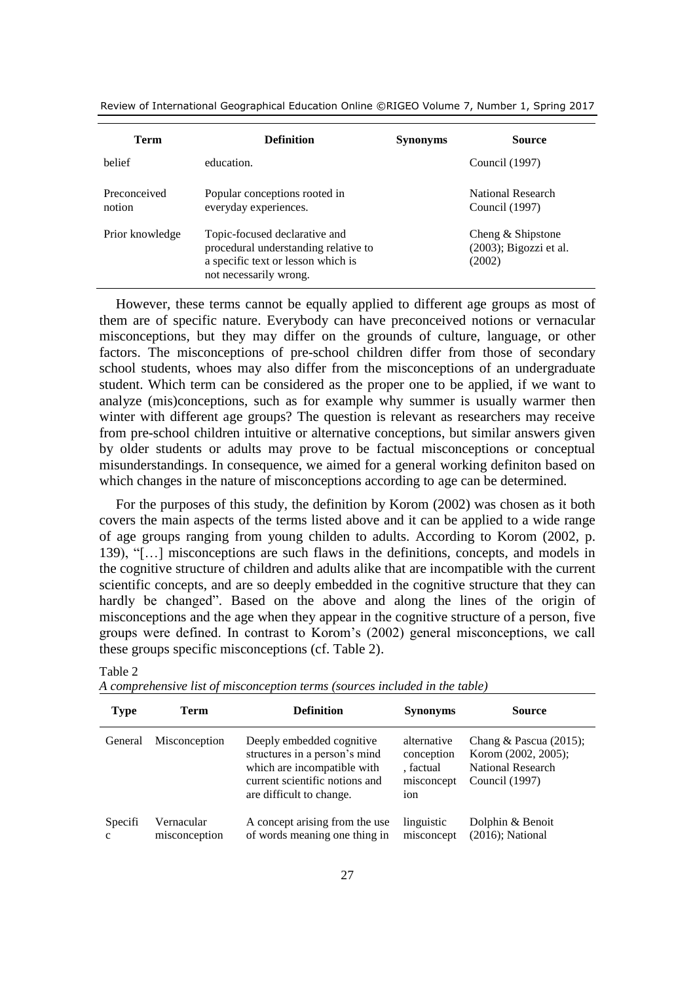| Term                   | <b>Definition</b>                                                                                                                     | <b>Synonyms</b> | Source                                                   |
|------------------------|---------------------------------------------------------------------------------------------------------------------------------------|-----------------|----------------------------------------------------------|
| helief                 | education.                                                                                                                            |                 | Council (1997)                                           |
| Preconceived<br>notion | Popular conceptions rooted in<br>everyday experiences.                                                                                |                 | National Research<br>Council (1997)                      |
| Prior knowledge        | Topic-focused declarative and<br>procedural understanding relative to<br>a specific text or lesson which is<br>not necessarily wrong. |                 | Cheng & Shipstone<br>$(2003)$ ; Bigozzi et al.<br>(2002) |

However, these terms cannot be equally applied to different age groups as most of them are of specific nature. Everybody can have preconceived notions or vernacular misconceptions, but they may differ on the grounds of culture, language, or other factors. The misconceptions of pre-school children differ from those of secondary school students, whoes may also differ from the misconceptions of an undergraduate student. Which term can be considered as the proper one to be applied, if we want to analyze (mis)conceptions, such as for example why summer is usually warmer then winter with different age groups? The question is relevant as researchers may receive from pre-school children intuitive or alternative conceptions, but similar answers given by older students or adults may prove to be factual misconceptions or conceptual misunderstandings. In consequence, we aimed for a general working definiton based on which changes in the nature of misconceptions according to age can be determined.

For the purposes of this study, the definition by Korom (2002) was chosen as it both covers the main aspects of the terms listed above and it can be applied to a wide range of age groups ranging from young childen to adults. According to Korom (2002, p. 139), "[…] misconceptions are such flaws in the definitions, concepts, and models in the cognitive structure of children and adults alike that are incompatible with the current scientific concepts, and are so deeply embedded in the cognitive structure that they can hardly be changed". Based on the above and along the lines of the origin of misconceptions and the age when they appear in the cognitive structure of a person, five groups were defined. In contrast to Korom's (2002) general misconceptions, we call these groups specific misconceptions (cf. Table 2).

| <b>Type</b>             | Term                        | <b>Definition</b>                                                                                                                                       | <b>Synonyms</b>                                             | <b>Source</b>                                                                           |
|-------------------------|-----------------------------|---------------------------------------------------------------------------------------------------------------------------------------------------------|-------------------------------------------------------------|-----------------------------------------------------------------------------------------|
| General                 | Misconception               | Deeply embedded cognitive<br>structures in a person's mind<br>which are incompatible with<br>current scientific notions and<br>are difficult to change. | alternative<br>conception<br>. factual<br>misconcept<br>ion | Chang & Pascua $(2015)$ ;<br>Korom (2002, 2005);<br>National Research<br>Council (1997) |
| Specifi<br>$\mathbf{c}$ | Vernacular<br>misconception | A concept arising from the use<br>of words meaning one thing in                                                                                         | linguistic<br>misconcept                                    | Dolphin & Benoit<br>$(2016)$ ; National                                                 |

Table 2

| A comprehensive list of misconception terms (sources included in the table) |  |  |  |
|-----------------------------------------------------------------------------|--|--|--|
|                                                                             |  |  |  |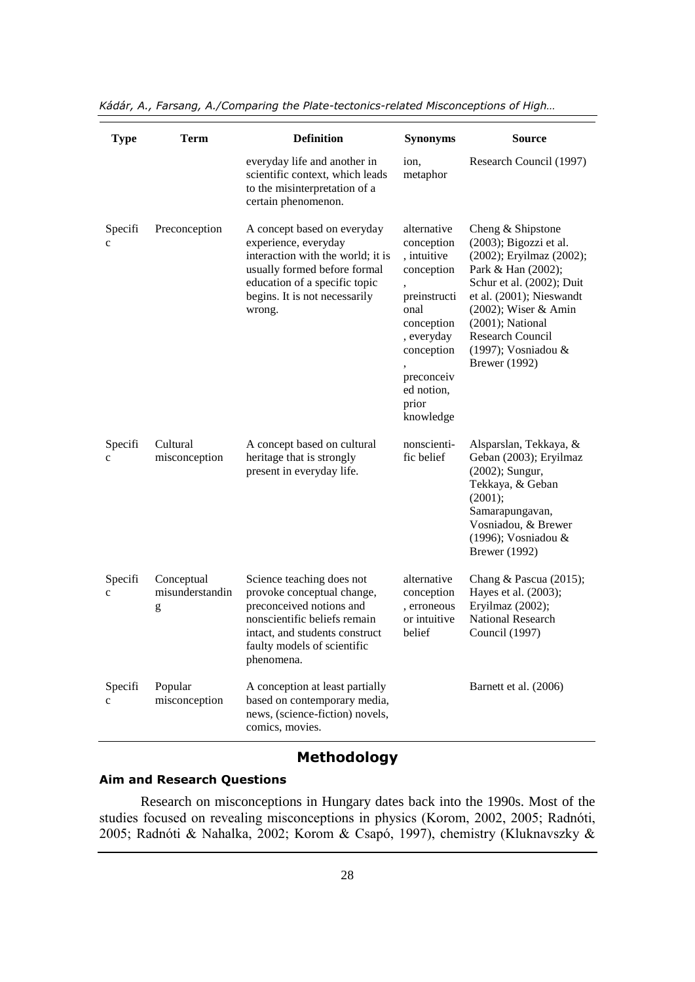| <b>Type</b>             | <b>Term</b>                        | <b>Definition</b>                                                                                                                                                                                    | <b>Synonyms</b>                                                                                                                                                            | <b>Source</b>                                                                                                                                                                                                                                                            |
|-------------------------|------------------------------------|------------------------------------------------------------------------------------------------------------------------------------------------------------------------------------------------------|----------------------------------------------------------------------------------------------------------------------------------------------------------------------------|--------------------------------------------------------------------------------------------------------------------------------------------------------------------------------------------------------------------------------------------------------------------------|
|                         |                                    | everyday life and another in<br>scientific context, which leads<br>to the misinterpretation of a<br>certain phenomenon.                                                                              | ion,<br>metaphor                                                                                                                                                           | Research Council (1997)                                                                                                                                                                                                                                                  |
| Specifi<br>$\mathbf c$  | Preconception                      | A concept based on everyday<br>experience, everyday<br>interaction with the world; it is<br>usually formed before formal<br>education of a specific topic<br>begins. It is not necessarily<br>wrong. | alternative<br>conception<br>, intuitive<br>conception<br>preinstructi<br>onal<br>conception<br>, everyday<br>conception<br>preconceiv<br>ed notion,<br>prior<br>knowledge | Cheng & Shipstone<br>(2003); Bigozzi et al.<br>(2002); Eryilmaz (2002);<br>Park & Han (2002);<br>Schur et al. (2002); Duit<br>et al. (2001); Nieswandt<br>(2002); Wiser & Amin<br>$(2001)$ ; National<br>Research Council<br>(1997); Vosniadou &<br><b>Brewer</b> (1992) |
| Specifi<br>c            | Cultural<br>misconception          | A concept based on cultural<br>heritage that is strongly<br>present in everyday life.                                                                                                                | nonscienti-<br>fic belief                                                                                                                                                  | Alsparslan, Tekkaya, &<br>Geban (2003); Eryilmaz<br>(2002); Sungur,<br>Tekkaya, & Geban<br>(2001);<br>Samarapungavan,<br>Vosniadou, & Brewer<br>(1996); Vosniadou &<br><b>Brewer</b> (1992)                                                                              |
| Specifi<br>$\mathbf c$  | Conceptual<br>misunderstandin<br>g | Science teaching does not<br>provoke conceptual change,<br>preconceived notions and<br>nonscientific beliefs remain<br>intact, and students construct<br>faulty models of scientific<br>phenomena.   | alternative<br>conception<br>, erroneous<br>or intuitive<br>belief                                                                                                         | Chang & Pascua $(2015)$ ;<br>Hayes et al. (2003);<br>Eryilmaz (2002);<br><b>National Research</b><br>Council (1997)                                                                                                                                                      |
| Specifi<br>$\mathbf{C}$ | Popular<br>misconception           | A conception at least partially<br>based on contemporary media,<br>news, (science-fiction) novels,<br>comics, movies.                                                                                |                                                                                                                                                                            | Barnett et al. (2006)                                                                                                                                                                                                                                                    |

*Kádár, A., Farsang, A./Comparing the Plate-tectonics-related Misconceptions of High…*

## **Methodology**

#### **Aim and Research Questions**

Research on misconceptions in Hungary dates back into the 1990s. Most of the studies focused on revealing misconceptions in physics (Korom, 2002, 2005; Radnóti, 2005; Radnóti & Nahalka, 2002; Korom & Csapó, 1997), chemistry (Kluknavszky &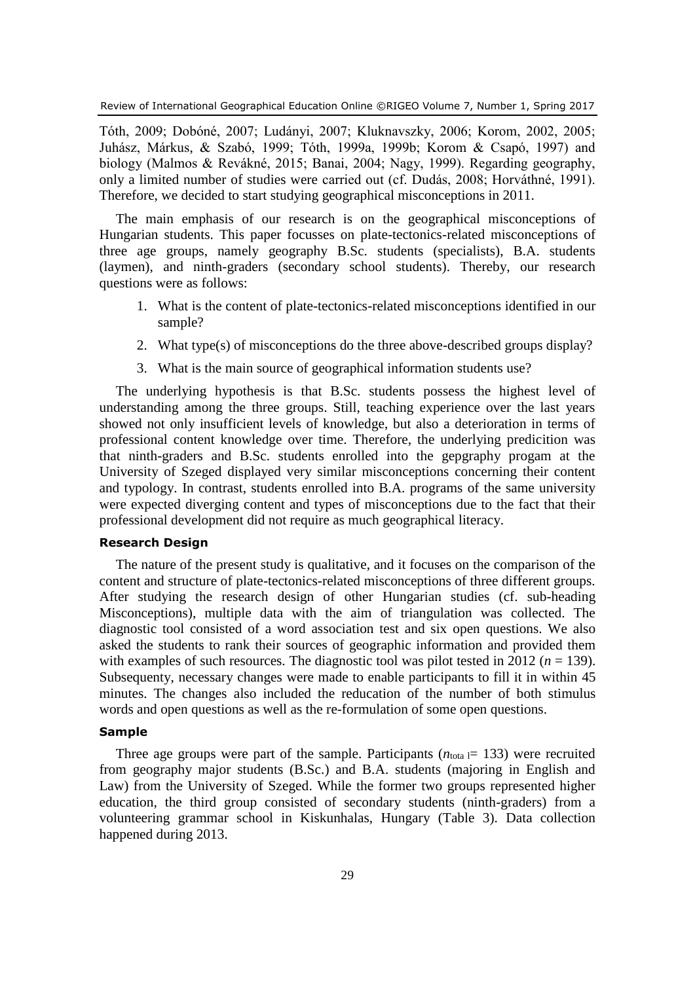Tóth, 2009; Dobóné, 2007; Ludányi, 2007; Kluknavszky, 2006; Korom, 2002, 2005; Juhász, Márkus, & Szabó, 1999; Tóth, 1999a, 1999b; Korom & Csapó, 1997) and biology (Malmos & Revákné, 2015; Banai, 2004; Nagy, 1999). Regarding geography, only a limited number of studies were carried out (cf. Dudás, 2008; Horváthné, 1991). Therefore, we decided to start studying geographical misconceptions in 2011.

The main emphasis of our research is on the geographical misconceptions of Hungarian students. This paper focusses on plate-tectonics-related misconceptions of three age groups, namely geography B.Sc. students (specialists), B.A. students (laymen), and ninth-graders (secondary school students). Thereby, our research questions were as follows:

- 1. What is the content of plate-tectonics-related misconceptions identified in our sample?
- 2. What type(s) of misconceptions do the three above-described groups display?
- 3. What is the main source of geographical information students use?

The underlying hypothesis is that B.Sc. students possess the highest level of understanding among the three groups. Still, teaching experience over the last years showed not only insufficient levels of knowledge, but also a deterioration in terms of professional content knowledge over time. Therefore, the underlying predicition was that ninth-graders and B.Sc. students enrolled into the gepgraphy progam at the University of Szeged displayed very similar misconceptions concerning their content and typology. In contrast, students enrolled into B.A. programs of the same university were expected diverging content and types of misconceptions due to the fact that their professional development did not require as much geographical literacy.

#### **Research Design**

The nature of the present study is qualitative, and it focuses on the comparison of the content and structure of plate-tectonics-related misconceptions of three different groups. After studying the research design of other Hungarian studies (cf. sub-heading Misconceptions), multiple data with the aim of triangulation was collected. The diagnostic tool consisted of a word association test and six open questions. We also asked the students to rank their sources of geographic information and provided them with examples of such resources. The diagnostic tool was pilot tested in 2012 ( $n = 139$ ). Subsequenty, necessary changes were made to enable participants to fill it in within 45 minutes. The changes also included the reducation of the number of both stimulus words and open questions as well as the re-formulation of some open questions.

#### **Sample**

Three age groups were part of the sample. Participants  $(n_{\text{total}} = 133)$  were recruited from geography major students (B.Sc.) and B.A. students (majoring in English and Law) from the University of Szeged. While the former two groups represented higher education, the third group consisted of secondary students (ninth-graders) from a volunteering grammar school in Kiskunhalas, Hungary (Table 3). Data collection happened during 2013.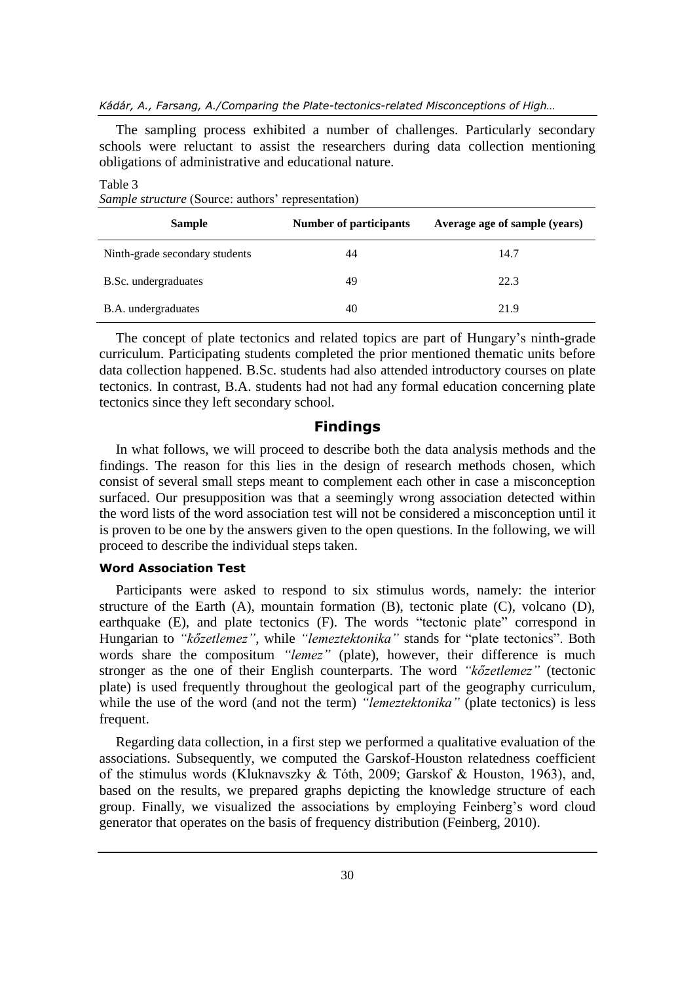#### *Kádár, A., Farsang, A./Comparing the Plate-tectonics-related Misconceptions of High…*

The sampling process exhibited a number of challenges. Particularly secondary schools were reluctant to assist the researchers during data collection mentioning obligations of administrative and educational nature.

| sample structure (Source, authors representation) |                               |                               |  |  |  |
|---------------------------------------------------|-------------------------------|-------------------------------|--|--|--|
| <b>Sample</b>                                     | <b>Number of participants</b> | Average age of sample (years) |  |  |  |
| Ninth-grade secondary students                    | 44                            | 14.7                          |  |  |  |
| B.Sc. undergraduates                              | 49                            | 22.3                          |  |  |  |
| B.A. undergraduates                               | 40                            | 21.9                          |  |  |  |

*Sample structure* (Source: authors' representation)

Table 3

The concept of plate tectonics and related topics are part of Hungary's ninth-grade curriculum. Participating students completed the prior mentioned thematic units before data collection happened. B.Sc. students had also attended introductory courses on plate tectonics. In contrast, B.A. students had not had any formal education concerning plate tectonics since they left secondary school.

#### **Findings**

In what follows, we will proceed to describe both the data analysis methods and the findings. The reason for this lies in the design of research methods chosen, which consist of several small steps meant to complement each other in case a misconception surfaced. Our presupposition was that a seemingly wrong association detected within the word lists of the word association test will not be considered a misconception until it is proven to be one by the answers given to the open questions. In the following, we will proceed to describe the individual steps taken.

#### **Word Association Test**

Participants were asked to respond to six stimulus words, namely: the interior structure of the Earth (A), mountain formation (B), tectonic plate (C), volcano (D), earthquake (E), and plate tectonics (F). The words "tectonic plate" correspond in Hungarian to *"kőzetlemez"*, while *"lemeztektonika"* stands for "plate tectonics". Both words share the compositum *"lemez"* (plate), however, their difference is much stronger as the one of their English counterparts. The word *"kőzetlemez"* (tectonic plate) is used frequently throughout the geological part of the geography curriculum, while the use of the word (and not the term) *"lemeztektonika"* (plate tectonics) is less frequent.

Regarding data collection, in a first step we performed a qualitative evaluation of the associations. Subsequently, we computed the Garskof-Houston relatedness coefficient of the stimulus words (Kluknavszky & Tóth, 2009; Garskof & Houston, 1963), and, based on the results, we prepared graphs depicting the knowledge structure of each group. Finally, we visualized the associations by employing Feinberg's word cloud generator that operates on the basis of frequency distribution (Feinberg, 2010).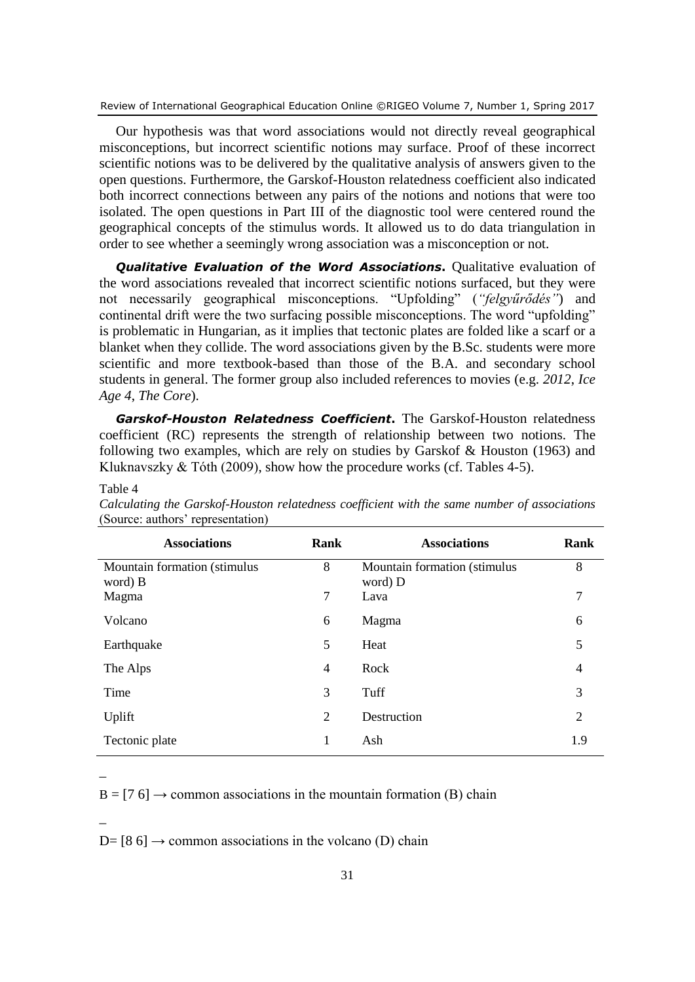Our hypothesis was that word associations would not directly reveal geographical misconceptions, but incorrect scientific notions may surface. Proof of these incorrect scientific notions was to be delivered by the qualitative analysis of answers given to the open questions. Furthermore, the Garskof-Houston relatedness coefficient also indicated both incorrect connections between any pairs of the notions and notions that were too isolated. The open questions in Part III of the diagnostic tool were centered round the geographical concepts of the stimulus words. It allowed us to do data triangulation in order to see whether a seemingly wrong association was a misconception or not.

*Qualitative Evaluation of the Word Associations***.** Qualitative evaluation of the word associations revealed that incorrect scientific notions surfaced, but they were not necessarily geographical misconceptions. "Upfolding" (*"felgyűrődés"*) and continental drift were the two surfacing possible misconceptions. The word "upfolding" is problematic in Hungarian, as it implies that tectonic plates are folded like a scarf or a blanket when they collide. The word associations given by the B.Sc. students were more scientific and more textbook-based than those of the B.A. and secondary school students in general. The former group also included references to movies (e.g. *2012*, *Ice Age 4*, *The Core*).

*Garskof-Houston Relatedness Coefficient***.** The Garskof-Houston relatedness coefficient (RC) represents the strength of relationship between two notions. The following two examples, which are rely on studies by Garskof & Houston (1963) and Kluknavszky  $&$  Tóth (2009), show how the procedure works (cf. Tables 4-5).

| <b>Associations</b>                     | Rank           | <b>Associations</b>                     | Rank           |
|-----------------------------------------|----------------|-----------------------------------------|----------------|
| Mountain formation (stimulus<br>word) B | 8              | Mountain formation (stimulus<br>word) D | 8              |
| Magma                                   | $\overline{7}$ | Lava                                    | 7              |
| Volcano                                 | 6              | Magma                                   | 6              |
| Earthquake                              | 5              | Heat                                    | 5              |
| The Alps                                | 4              | Rock                                    | 4              |
| Time                                    | 3              | Tuff                                    | 3              |
| Uplift                                  | 2              | Destruction                             | $\overline{2}$ |
| Tectonic plate                          | 1              | Ash                                     | 1.9            |

*Calculating the Garskof-Houston relatedness coefficient with the same number of associations* (Source: authors' representation)

 $B = [7 6] \rightarrow$  common associations in the mountain formation (B) chain

\_

 $\overline{a}$ 

Table 4

 $D= [8 6] \rightarrow$  common associations in the volcano (D) chain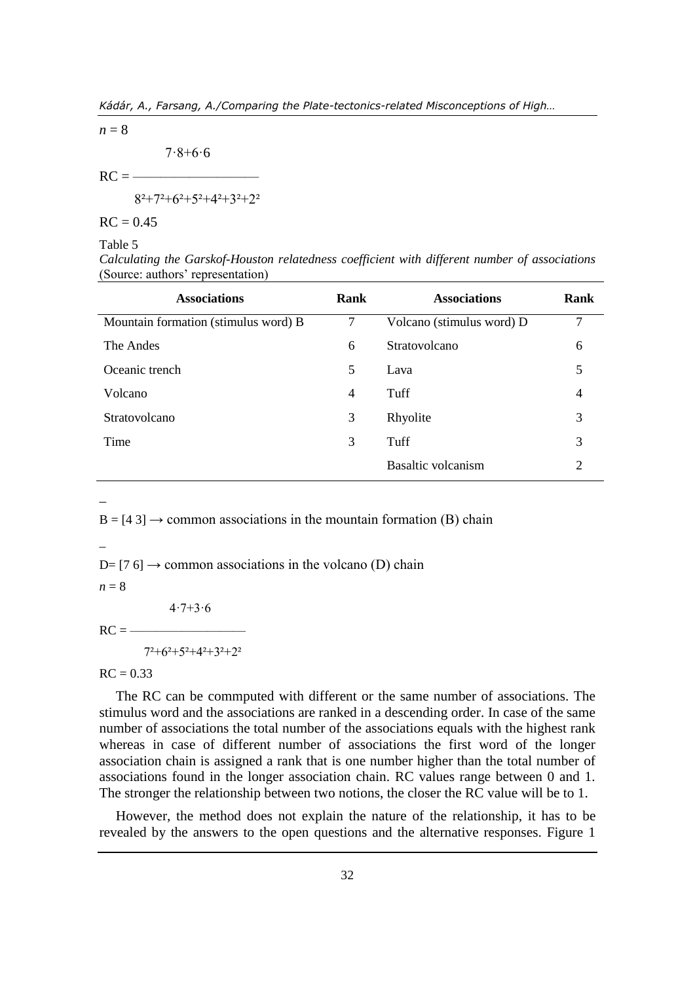$n = 8$ 

 $7.8 + 6.6$ 

 $RC = -$ 

 $8^{2}+7^{2}+6^{2}+5^{2}+4^{2}+3^{2}+2^{2}$ 

 $RC = 0.45$ 

Table 5

*Calculating the Garskof-Houston relatedness coefficient with different number of associations* (Source: authors' representation)

| <b>Associations</b>                  | Rank           | <b>Associations</b>       | Rank |
|--------------------------------------|----------------|---------------------------|------|
| Mountain formation (stimulus word) B | 7              | Volcano (stimulus word) D | 7    |
| The Andes                            | 6              | Stratovolcano             | 6    |
| Oceanic trench                       | 5              | Lava                      | 5    |
| Volcano                              | $\overline{4}$ | Tuff                      | 4    |
| Stratovolcano                        | 3              | Rhyolite                  | 3    |
| Time                                 | 3              | Tuff                      | 3    |
|                                      |                | Basaltic volcanism        | 2    |

 $\overline{a}$ 

 $B = [4, 3] \rightarrow$  common associations in the mountain formation (B) chain

\_

 $D=[7 6] \rightarrow$  common associations in the volcano (D) chain

 $n = 8$ 

 $4.7 + 3.6$ 

 $RC =$ 

 $7^2+6^2+5^2+4^2+3^2+2^2$ 

 $RC = 0.33$ 

The RC can be commputed with different or the same number of associations. The stimulus word and the associations are ranked in a descending order. In case of the same number of associations the total number of the associations equals with the highest rank whereas in case of different number of associations the first word of the longer association chain is assigned a rank that is one number higher than the total number of associations found in the longer association chain. RC values range between 0 and 1. The stronger the relationship between two notions, the closer the RC value will be to 1.

However, the method does not explain the nature of the relationship, it has to be revealed by the answers to the open questions and the alternative responses. Figure 1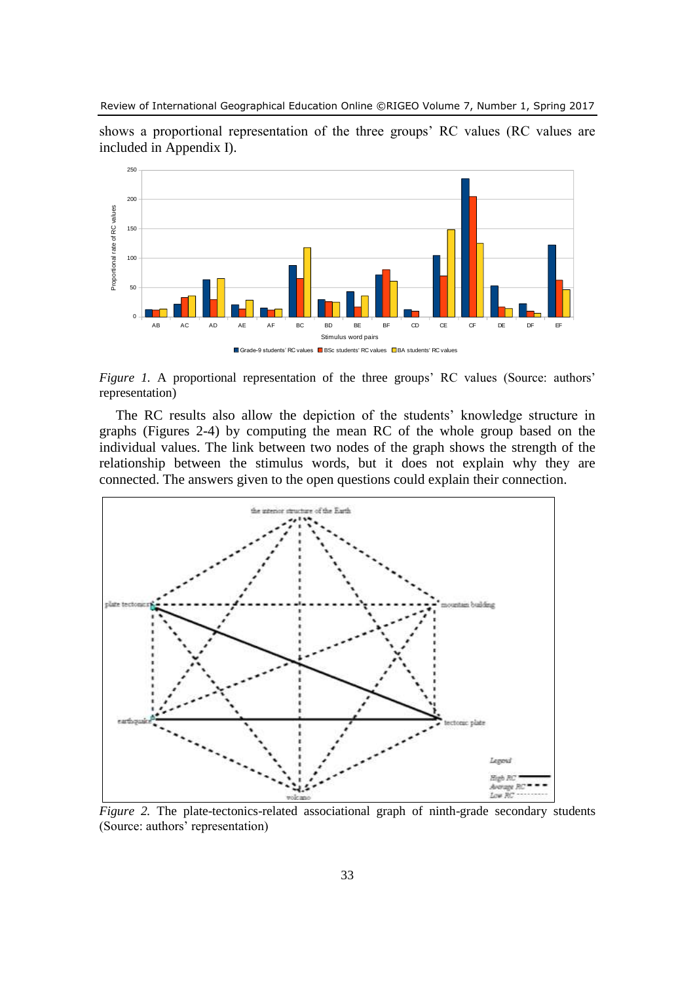shows a proportional representation of the three groups' RC values (RC values are included in Appendix I).



*Figure 1.* A proportional representation of the three groups' RC values (Source: authors' representation)

The RC results also allow the depiction of the students' knowledge structure in graphs (Figures 2-4) by computing the mean RC of the whole group based on the individual values. The link between two nodes of the graph shows the strength of the relationship between the stimulus words, but it does not explain why they are connected. The answers given to the open questions could explain their connection.



*Figure 2.* The plate-tectonics-related associational graph of ninth-grade secondary students (Source: authors' representation)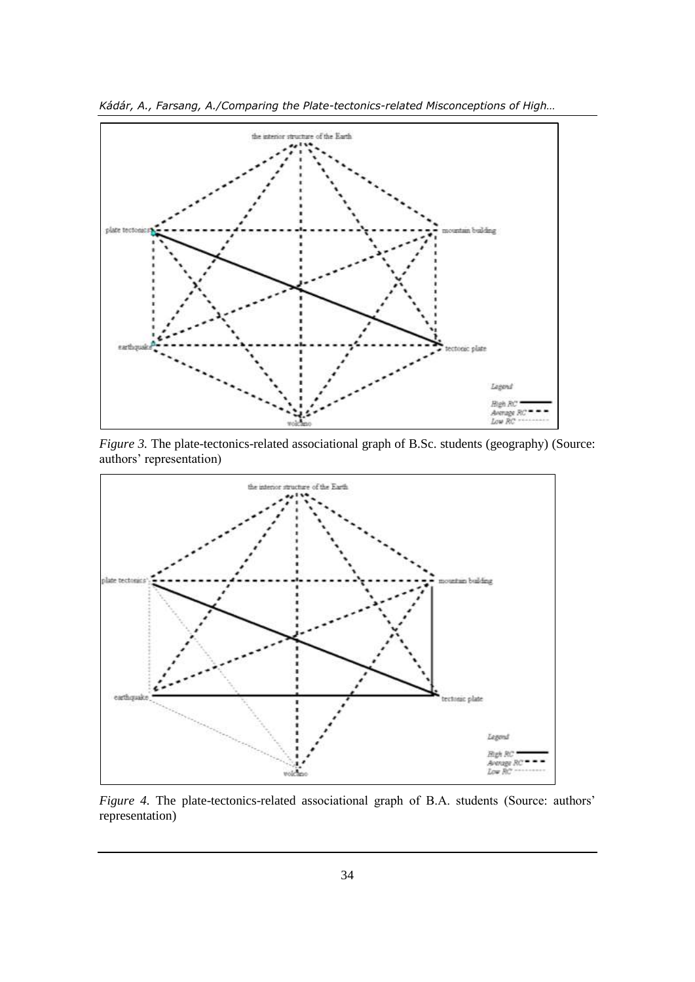

*Kádár, A., Farsang, A./Comparing the Plate-tectonics-related Misconceptions of High…*

*Figure 3.* The plate-tectonics-related associational graph of B.Sc. students (geography) (Source: authors' representation)



*Figure 4.* The plate-tectonics-related associational graph of B.A. students (Source: authors' representation)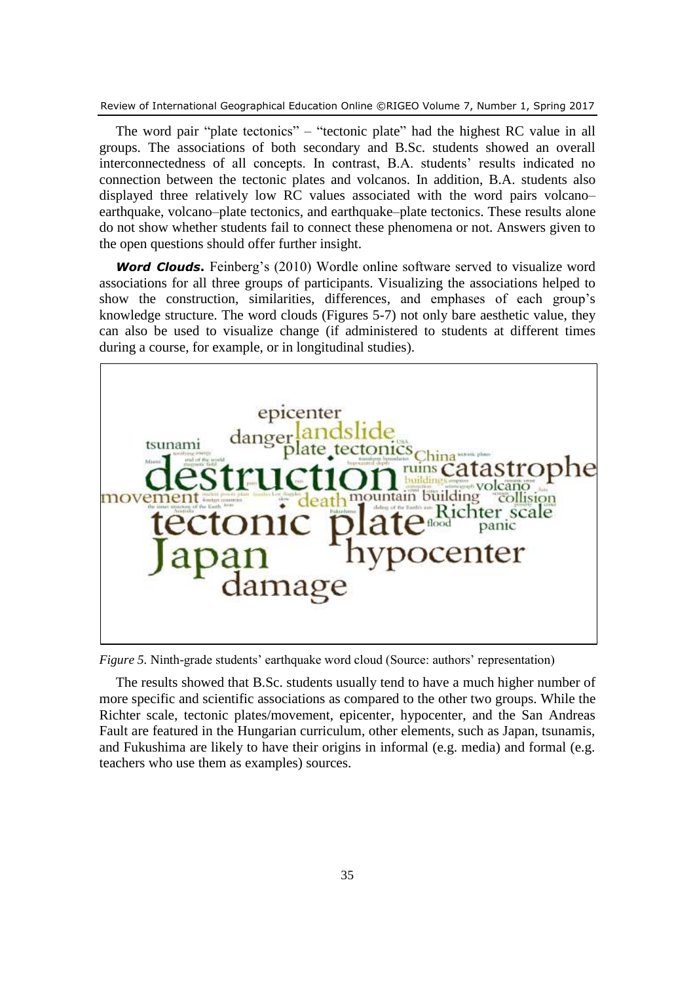The word pair "plate tectonics" – "tectonic plate" had the highest RC value in all groups. The associations of both secondary and B.Sc. students showed an overall interconnectedness of all concepts. In contrast, B.A. students' results indicated no connection between the tectonic plates and volcanos. In addition, B.A. students also displayed three relatively low RC values associated with the word pairs volcano– earthquake, volcano–plate tectonics, and earthquake–plate tectonics. These results alone do not show whether students fail to connect these phenomena or not. Answers given to the open questions should offer further insight.

*Word Clouds.* Feinberg's (2010) Wordle online software served to visualize word associations for all three groups of participants. Visualizing the associations helped to show the construction, similarities, differences, and emphases of each group's knowledge structure. The word clouds (Figures 5-7) not only bare aesthetic value, they can also be used to visualize change (if administered to students at different times during a course, for example, or in longitudinal studies).



*Figure 5.* Ninth-grade students' earthquake word cloud (Source: authors' representation)

The results showed that B.Sc. students usually tend to have a much higher number of more specific and scientific associations as compared to the other two groups. While the Richter scale, tectonic plates/movement, epicenter, hypocenter, and the San Andreas Fault are featured in the Hungarian curriculum, other elements, such as Japan, tsunamis, and Fukushima are likely to have their origins in informal (e.g. media) and formal (e.g. teachers who use them as examples) sources.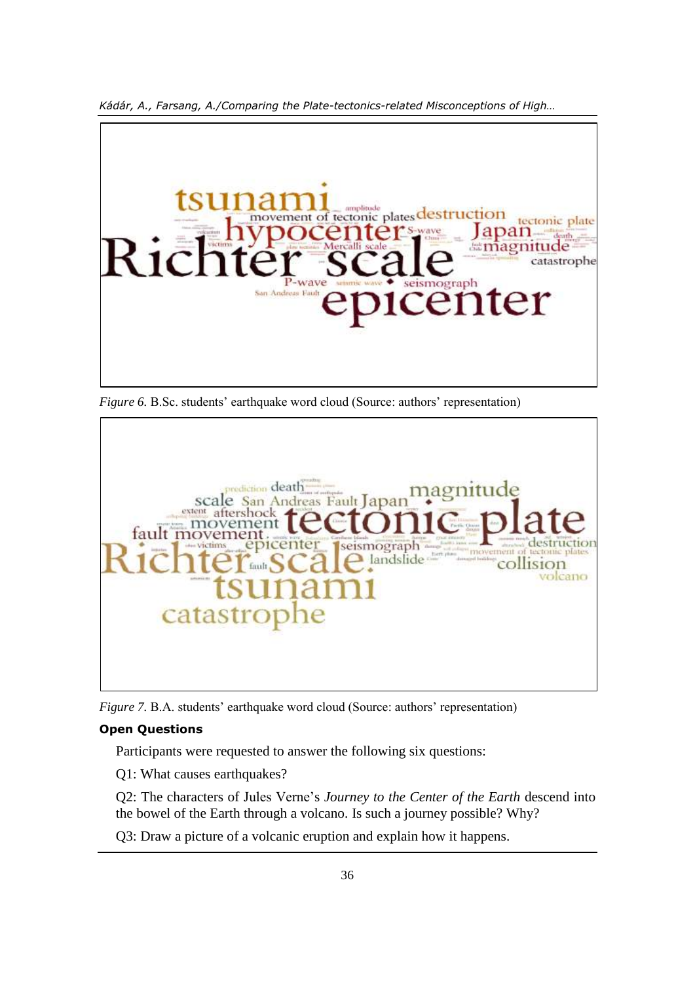

*Kádár, A., Farsang, A./Comparing the Plate-tectonics-related Misconceptions of High…*

*Figure 6. B.Sc.* students' earthquake word cloud (Source: authors' representation)



*Figure 7. B.A.* students' earthquake word cloud (Source: authors' representation)

#### **Open Questions**

Participants were requested to answer the following six questions:

Q1: What causes earthquakes?

Q2: The characters of Jules Verne's *Journey to the Center of the Earth* descend into the bowel of the Earth through a volcano. Is such a journey possible? Why?

Q3: Draw a picture of a volcanic eruption and explain how it happens.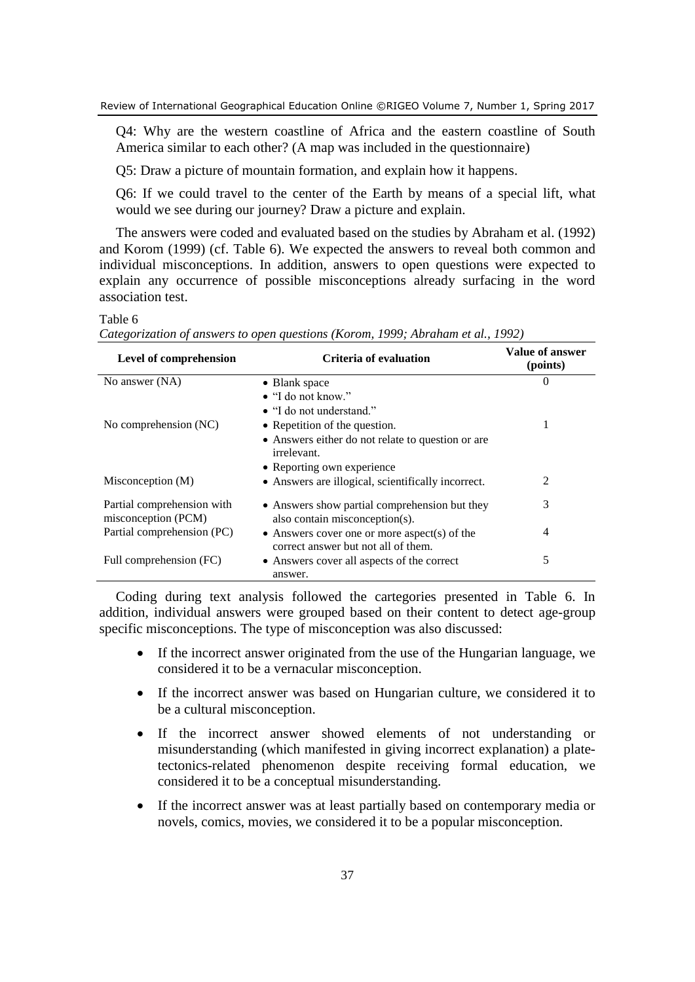Q4: Why are the western coastline of Africa and the eastern coastline of South America similar to each other? (A map was included in the questionnaire)

Q5: Draw a picture of mountain formation, and explain how it happens.

Q6: If we could travel to the center of the Earth by means of a special lift, what would we see during our journey? Draw a picture and explain.

The answers were coded and evaluated based on the studies by Abraham et al. (1992) and Korom (1999) (cf. Table 6). We expected the answers to reveal both common and individual misconceptions. In addition, answers to open questions were expected to explain any occurrence of possible misconceptions already surfacing in the word association test.

Table 6

*Categorization of answers to open questions (Korom, 1999; Abraham et al., 1992)*

| Level of comprehension                            | Criteria of evaluation                                                                      | Value of answer<br>(points) |
|---------------------------------------------------|---------------------------------------------------------------------------------------------|-----------------------------|
| No answer (NA)                                    | • Blank space                                                                               | $\theta$                    |
|                                                   | • "I do not know."                                                                          |                             |
|                                                   | • "I do not understand."                                                                    |                             |
| No comprehension (NC)                             | • Repetition of the question.                                                               | 1                           |
|                                                   | • Answers either do not relate to question or are<br>irrelevant.                            |                             |
|                                                   | • Reporting own experience                                                                  |                             |
| Misconception (M)                                 | • Answers are illogical, scientifically incorrect.                                          | 2                           |
| Partial comprehension with<br>misconception (PCM) | • Answers show partial comprehension but they<br>also contain misconception(s).             | 3                           |
| Partial comprehension (PC)                        | $\bullet$ Answers cover one or more aspect(s) of the<br>correct answer but not all of them. | 4                           |
| Full comprehension (FC)                           | • Answers cover all aspects of the correct<br>answer.                                       | 5                           |

Coding during text analysis followed the cartegories presented in Table 6. In addition, individual answers were grouped based on their content to detect age-group specific misconceptions. The type of misconception was also discussed:

- If the incorrect answer originated from the use of the Hungarian language, we considered it to be a vernacular misconception.
- If the incorrect answer was based on Hungarian culture, we considered it to be a cultural misconception.
- If the incorrect answer showed elements of not understanding or misunderstanding (which manifested in giving incorrect explanation) a platetectonics-related phenomenon despite receiving formal education, we considered it to be a conceptual misunderstanding.
- If the incorrect answer was at least partially based on contemporary media or novels, comics, movies, we considered it to be a popular misconception.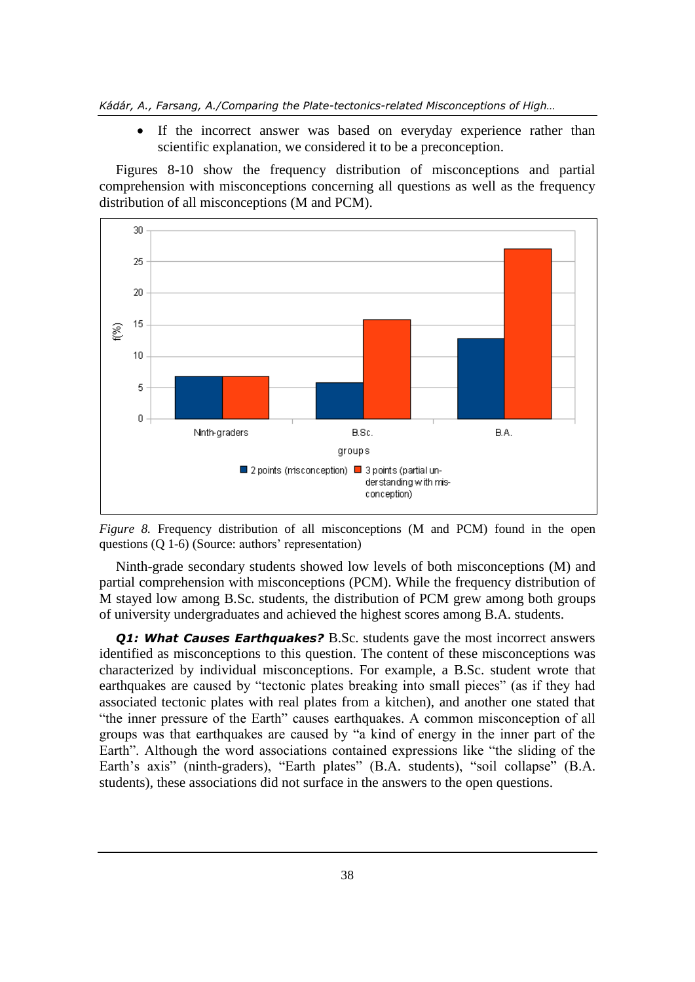If the incorrect answer was based on everyday experience rather than scientific explanation, we considered it to be a preconception.

Figures 8-10 show the frequency distribution of misconceptions and partial comprehension with misconceptions concerning all questions as well as the frequency distribution of all misconceptions (M and PCM).





Ninth-grade secondary students showed low levels of both misconceptions (M) and partial comprehension with misconceptions (PCM). While the frequency distribution of M stayed low among B.Sc. students, the distribution of PCM grew among both groups of university undergraduates and achieved the highest scores among B.A. students.

*Q1: What Causes Earthquakes?* B.Sc. students gave the most incorrect answers identified as misconceptions to this question. The content of these misconceptions was characterized by individual misconceptions. For example, a B.Sc. student wrote that earthquakes are caused by "tectonic plates breaking into small pieces" (as if they had associated tectonic plates with real plates from a kitchen), and another one stated that "the inner pressure of the Earth" causes earthquakes. A common misconception of all groups was that earthquakes are caused by "a kind of energy in the inner part of the Earth". Although the word associations contained expressions like "the sliding of the Earth's axis" (ninth-graders), "Earth plates" (B.A. students), "soil collapse" (B.A. students), these associations did not surface in the answers to the open questions.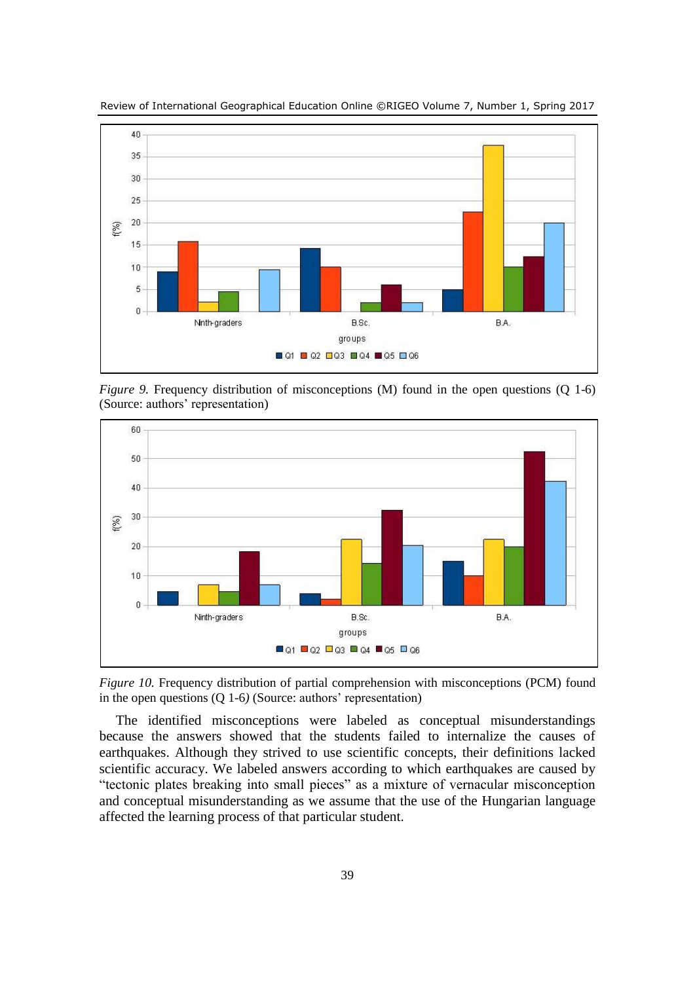

Review of International Geographical Education Online ©RIGEO Volume 7, Number 1, Spring 2017

*Figure 9.* Frequency distribution of misconceptions (M) found in the open questions (Q 1-6) (Source: authors' representation)



*Figure 10.* Frequency distribution of partial comprehension with misconceptions (PCM) found in the open questions (Q 1-6*)* (Source: authors' representation)

The identified misconceptions were labeled as conceptual misunderstandings because the answers showed that the students failed to internalize the causes of earthquakes. Although they strived to use scientific concepts, their definitions lacked scientific accuracy. We labeled answers according to which earthquakes are caused by "tectonic plates breaking into small pieces" as a mixture of vernacular misconception and conceptual misunderstanding as we assume that the use of the Hungarian language affected the learning process of that particular student.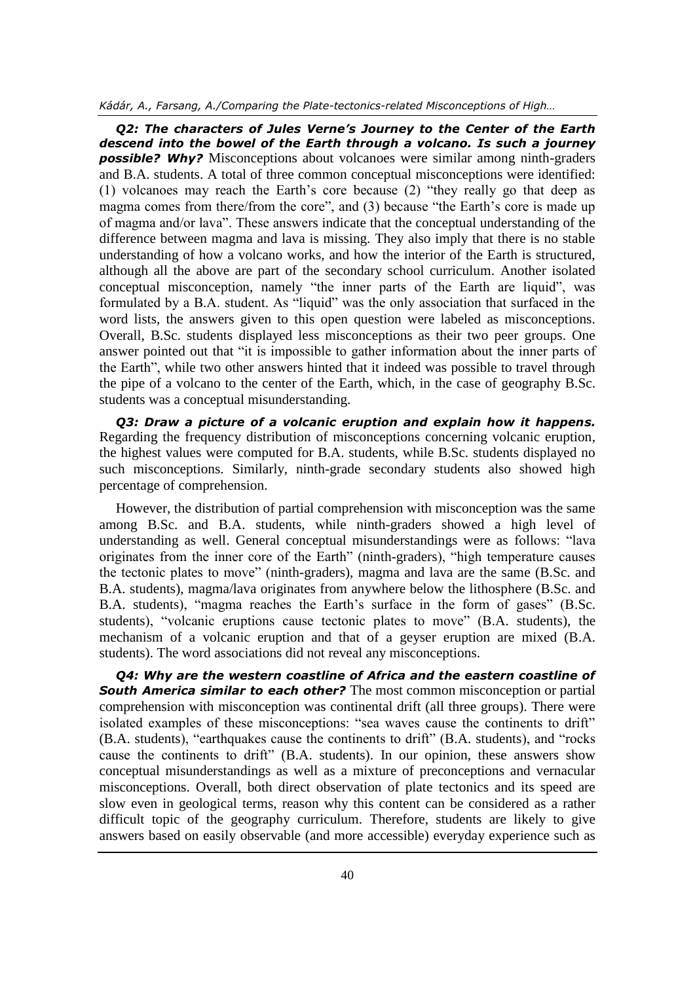#### *Kádár, A., Farsang, A./Comparing the Plate-tectonics-related Misconceptions of High…*

*Q2: The characters of Jules Verne's Journey to the Center of the Earth descend into the bowel of the Earth through a volcano. Is such a journey possible? Why?* Misconceptions about volcanoes were similar among ninth-graders and B.A. students. A total of three common conceptual misconceptions were identified: (1) volcanoes may reach the Earth's core because (2) "they really go that deep as magma comes from there/from the core", and (3) because "the Earth's core is made up of magma and/or lava". These answers indicate that the conceptual understanding of the difference between magma and lava is missing. They also imply that there is no stable understanding of how a volcano works, and how the interior of the Earth is structured, although all the above are part of the secondary school curriculum. Another isolated conceptual misconception, namely "the inner parts of the Earth are liquid", was formulated by a B.A. student. As "liquid" was the only association that surfaced in the word lists, the answers given to this open question were labeled as misconceptions. Overall, B.Sc. students displayed less misconceptions as their two peer groups. One answer pointed out that "it is impossible to gather information about the inner parts of the Earth", while two other answers hinted that it indeed was possible to travel through the pipe of a volcano to the center of the Earth, which, in the case of geography B.Sc. students was a conceptual misunderstanding.

*Q3: Draw a picture of a volcanic eruption and explain how it happens.* Regarding the frequency distribution of misconceptions concerning volcanic eruption, the highest values were computed for B.A. students, while B.Sc. students displayed no such misconceptions. Similarly, ninth-grade secondary students also showed high percentage of comprehension.

However, the distribution of partial comprehension with misconception was the same among B.Sc. and B.A. students, while ninth-graders showed a high level of understanding as well. General conceptual misunderstandings were as follows: "lava originates from the inner core of the Earth" (ninth-graders), "high temperature causes the tectonic plates to move" (ninth-graders), magma and lava are the same (B.Sc. and B.A. students), magma/lava originates from anywhere below the lithosphere (B.Sc. and B.A. students), "magma reaches the Earth's surface in the form of gases" (B.Sc. students), "volcanic eruptions cause tectonic plates to move" (B.A. students), the mechanism of a volcanic eruption and that of a geyser eruption are mixed (B.A. students). The word associations did not reveal any misconceptions.

*Q4: Why are the western coastline of Africa and the eastern coastline of South America similar to each other?* The most common misconception or partial comprehension with misconception was continental drift (all three groups). There were isolated examples of these misconceptions: "sea waves cause the continents to drift" (B.A. students), "earthquakes cause the continents to drift" (B.A. students), and "rocks cause the continents to drift" (B.A. students). In our opinion, these answers show conceptual misunderstandings as well as a mixture of preconceptions and vernacular misconceptions. Overall, both direct observation of plate tectonics and its speed are slow even in geological terms, reason why this content can be considered as a rather difficult topic of the geography curriculum. Therefore, students are likely to give answers based on easily observable (and more accessible) everyday experience such as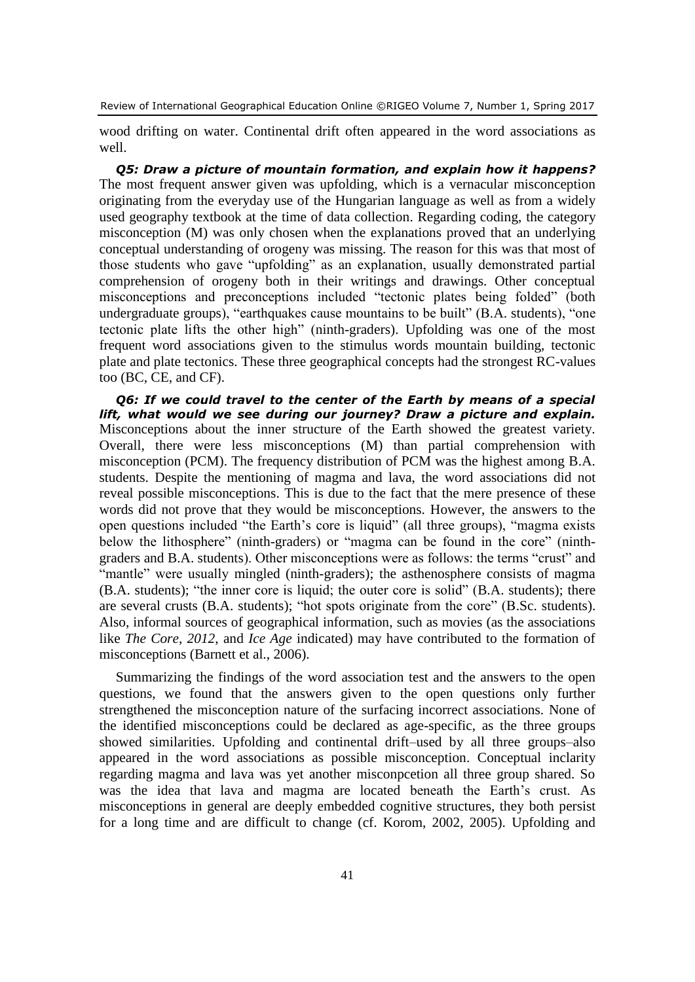wood drifting on water. Continental drift often appeared in the word associations as well.

*Q5: Draw a picture of mountain formation, and explain how it happens?* The most frequent answer given was upfolding, which is a vernacular misconception originating from the everyday use of the Hungarian language as well as from a widely used geography textbook at the time of data collection. Regarding coding, the category misconception (M) was only chosen when the explanations proved that an underlying conceptual understanding of orogeny was missing. The reason for this was that most of those students who gave "upfolding" as an explanation, usually demonstrated partial comprehension of orogeny both in their writings and drawings. Other conceptual misconceptions and preconceptions included "tectonic plates being folded" (both undergraduate groups), "earthquakes cause mountains to be built" (B.A. students), "one tectonic plate lifts the other high" (ninth-graders). Upfolding was one of the most frequent word associations given to the stimulus words mountain building, tectonic plate and plate tectonics. These three geographical concepts had the strongest RC-values too (BC, CE, and CF).

*Q6: If we could travel to the center of the Earth by means of a special lift, what would we see during our journey? Draw a picture and explain.* Misconceptions about the inner structure of the Earth showed the greatest variety. Overall, there were less misconceptions (M) than partial comprehension with misconception (PCM). The frequency distribution of PCM was the highest among B.A. students. Despite the mentioning of magma and lava, the word associations did not reveal possible misconceptions. This is due to the fact that the mere presence of these words did not prove that they would be misconceptions. However, the answers to the open questions included "the Earth's core is liquid" (all three groups), "magma exists below the lithosphere" (ninth-graders) or "magma can be found in the core" (ninthgraders and B.A. students). Other misconceptions were as follows: the terms "crust" and "mantle" were usually mingled (ninth-graders); the asthenosphere consists of magma (B.A. students); "the inner core is liquid; the outer core is solid" (B.A. students); there are several crusts (B.A. students); "hot spots originate from the core" (B.Sc. students). Also, informal sources of geographical information, such as movies (as the associations like *The Core*, *2012*, and *Ice Age* indicated) may have contributed to the formation of misconceptions (Barnett et al., 2006).

Summarizing the findings of the word association test and the answers to the open questions, we found that the answers given to the open questions only further strengthened the misconception nature of the surfacing incorrect associations. None of the identified misconceptions could be declared as age-specific, as the three groups showed similarities. Upfolding and continental drift–used by all three groups–also appeared in the word associations as possible misconception. Conceptual inclarity regarding magma and lava was yet another misconpcetion all three group shared. So was the idea that lava and magma are located beneath the Earth's crust. As misconceptions in general are deeply embedded cognitive structures, they both persist for a long time and are difficult to change (cf. Korom, 2002, 2005). Upfolding and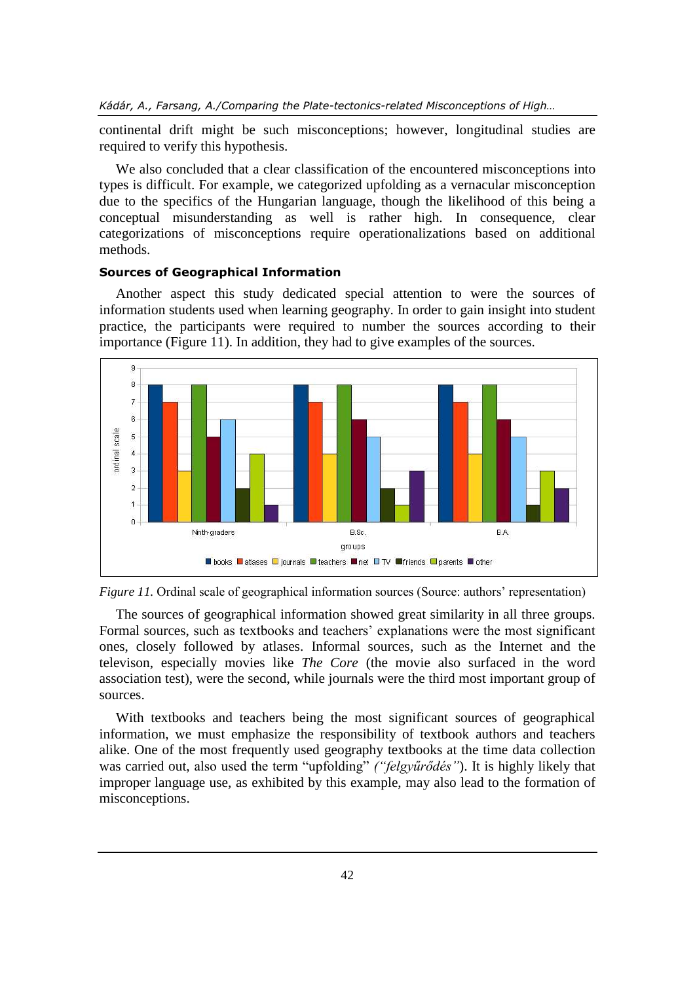continental drift might be such misconceptions; however, longitudinal studies are required to verify this hypothesis.

We also concluded that a clear classification of the encountered misconceptions into types is difficult. For example, we categorized upfolding as a vernacular misconception due to the specifics of the Hungarian language, though the likelihood of this being a conceptual misunderstanding as well is rather high. In consequence, clear categorizations of misconceptions require operationalizations based on additional methods.

#### **Sources of Geographical Information**

Another aspect this study dedicated special attention to were the sources of information students used when learning geography. In order to gain insight into student practice, the participants were required to number the sources according to their importance (Figure 11). In addition, they had to give examples of the sources.





The sources of geographical information showed great similarity in all three groups. Formal sources, such as textbooks and teachers' explanations were the most significant ones, closely followed by atlases. Informal sources, such as the Internet and the televison, especially movies like *The Core* (the movie also surfaced in the word association test), were the second, while journals were the third most important group of sources.

With textbooks and teachers being the most significant sources of geographical information, we must emphasize the responsibility of textbook authors and teachers alike. One of the most frequently used geography textbooks at the time data collection was carried out, also used the term "upfolding" *("felgyűrődés"*). It is highly likely that improper language use, as exhibited by this example, may also lead to the formation of misconceptions.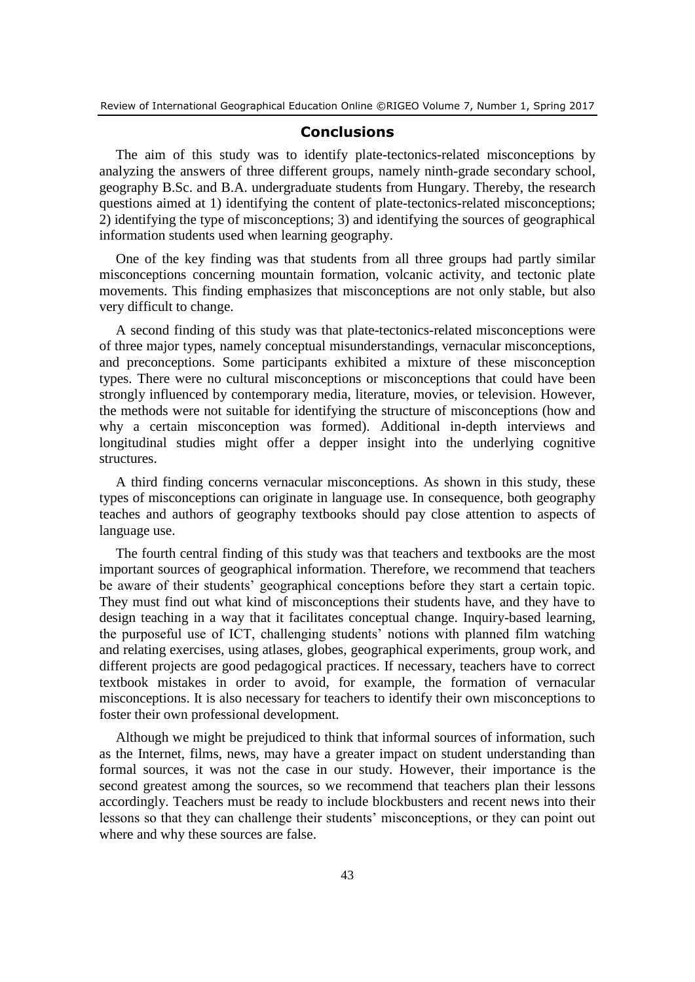#### **Conclusions**

The aim of this study was to identify plate-tectonics-related misconceptions by analyzing the answers of three different groups, namely ninth-grade secondary school, geography B.Sc. and B.A. undergraduate students from Hungary. Thereby, the research questions aimed at 1) identifying the content of plate-tectonics-related misconceptions; 2) identifying the type of misconceptions; 3) and identifying the sources of geographical information students used when learning geography.

One of the key finding was that students from all three groups had partly similar misconceptions concerning mountain formation, volcanic activity, and tectonic plate movements. This finding emphasizes that misconceptions are not only stable, but also very difficult to change.

A second finding of this study was that plate-tectonics-related misconceptions were of three major types, namely conceptual misunderstandings, vernacular misconceptions, and preconceptions. Some participants exhibited a mixture of these misconception types. There were no cultural misconceptions or misconceptions that could have been strongly influenced by contemporary media, literature, movies, or television. However, the methods were not suitable for identifying the structure of misconceptions (how and why a certain misconception was formed). Additional in-depth interviews and longitudinal studies might offer a depper insight into the underlying cognitive structures.

A third finding concerns vernacular misconceptions. As shown in this study, these types of misconceptions can originate in language use. In consequence, both geography teaches and authors of geography textbooks should pay close attention to aspects of language use.

The fourth central finding of this study was that teachers and textbooks are the most important sources of geographical information. Therefore, we recommend that teachers be aware of their students' geographical conceptions before they start a certain topic. They must find out what kind of misconceptions their students have, and they have to design teaching in a way that it facilitates conceptual change. Inquiry-based learning, the purposeful use of ICT, challenging students' notions with planned film watching and relating exercises, using atlases, globes, geographical experiments, group work, and different projects are good pedagogical practices. If necessary, teachers have to correct textbook mistakes in order to avoid, for example, the formation of vernacular misconceptions. It is also necessary for teachers to identify their own misconceptions to foster their own professional development.

Although we might be prejudiced to think that informal sources of information, such as the Internet, films, news, may have a greater impact on student understanding than formal sources, it was not the case in our study. However, their importance is the second greatest among the sources, so we recommend that teachers plan their lessons accordingly. Teachers must be ready to include blockbusters and recent news into their lessons so that they can challenge their students' misconceptions, or they can point out where and why these sources are false.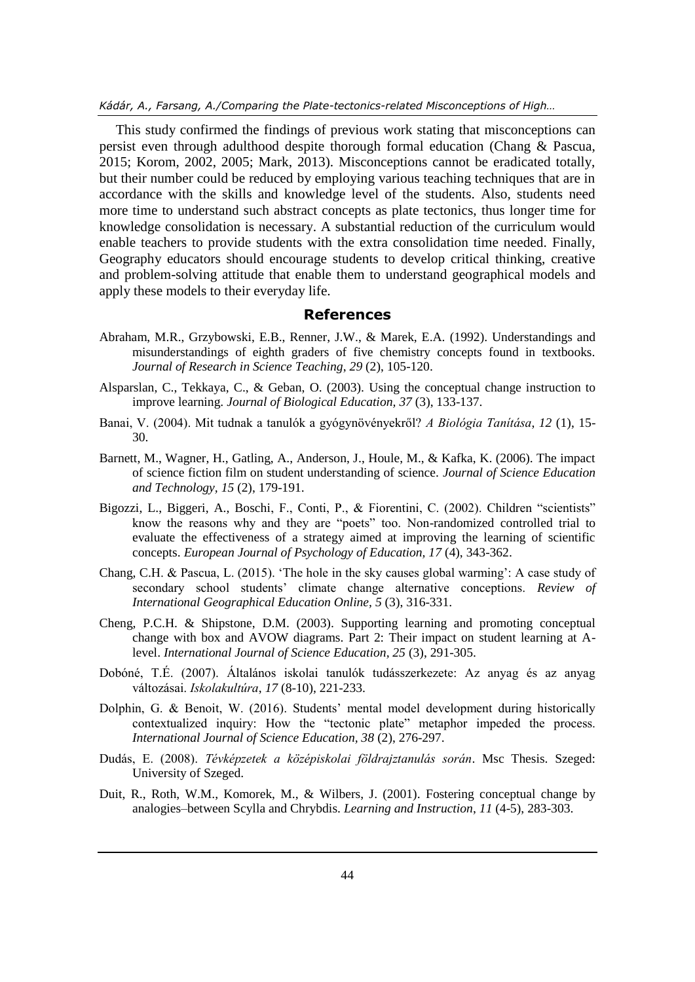#### *Kádár, A., Farsang, A./Comparing the Plate-tectonics-related Misconceptions of High…*

This study confirmed the findings of previous work stating that misconceptions can persist even through adulthood despite thorough formal education (Chang & Pascua, 2015; Korom, 2002, 2005; Mark, 2013). Misconceptions cannot be eradicated totally, but their number could be reduced by employing various teaching techniques that are in accordance with the skills and knowledge level of the students. Also, students need more time to understand such abstract concepts as plate tectonics, thus longer time for knowledge consolidation is necessary. A substantial reduction of the curriculum would enable teachers to provide students with the extra consolidation time needed. Finally, Geography educators should encourage students to develop critical thinking, creative and problem-solving attitude that enable them to understand geographical models and apply these models to their everyday life.

#### **References**

- Abraham, M.R., Grzybowski, E.B., Renner, J.W., & Marek, E.A. (1992). Understandings and misunderstandings of eighth graders of five chemistry concepts found in textbooks. *Journal of Research in Science Teaching*, *29* (2), 105-120.
- Alsparslan, C., Tekkaya, C., & Geban, O. (2003). Using the conceptual change instruction to improve learning. *Journal of Biological Education, 37* (3), 133-137.
- Banai, V. (2004). Mit tudnak a tanulók a gyógynövényekről? *A Biológia Tanítása*, *12* (1), 15- 30.
- Barnett, M., Wagner, H., Gatling, A., Anderson, J., Houle, M., & Kafka, K. (2006). The impact of science fiction film on student understanding of science. *Journal of Science Education and Technology, 15* (2), 179-191.
- Bigozzi, L., Biggeri, A., Boschi, F., Conti, P., & Fiorentini, C. (2002). Children "scientists" know the reasons why and they are "poets" too. Non-randomized controlled trial to evaluate the effectiveness of a strategy aimed at improving the learning of scientific concepts. *European Journal of Psychology of Education, 17* (4), 343-362.
- Chang, C.H. & Pascua, L. (2015). 'The hole in the sky causes global warming': A case study of secondary school students' climate change alternative conceptions. *Review of International Geographical Education Online, 5* (3), 316-331.
- Cheng, P.C.H. & Shipstone, D.M. (2003). Supporting learning and promoting conceptual change with box and AVOW diagrams. Part 2: Their impact on student learning at Alevel. *International Journal of Science Education, 25* (3), 291-305.
- Dobóné, T.É. (2007). Általános iskolai tanulók tudásszerkezete: Az anyag és az anyag változásai. *Iskolakultúra*, *17* (8-10), 221-233.
- Dolphin, G. & Benoit, W. (2016). Students' mental model development during historically contextualized inquiry: How the "tectonic plate" metaphor impeded the process. *International Journal of Science Education, 38* (2), 276-297.
- Dudás, E. (2008). *Tévképzetek a középiskolai földrajztanulás során*. Msc Thesis. Szeged: University of Szeged.
- Duit, R., Roth, W.M., Komorek, M., & Wilbers, J. (2001). Fostering conceptual change by analogies–between Scylla and Chrybdis. *Learning and Instruction*, *11* (4-5), 283-303.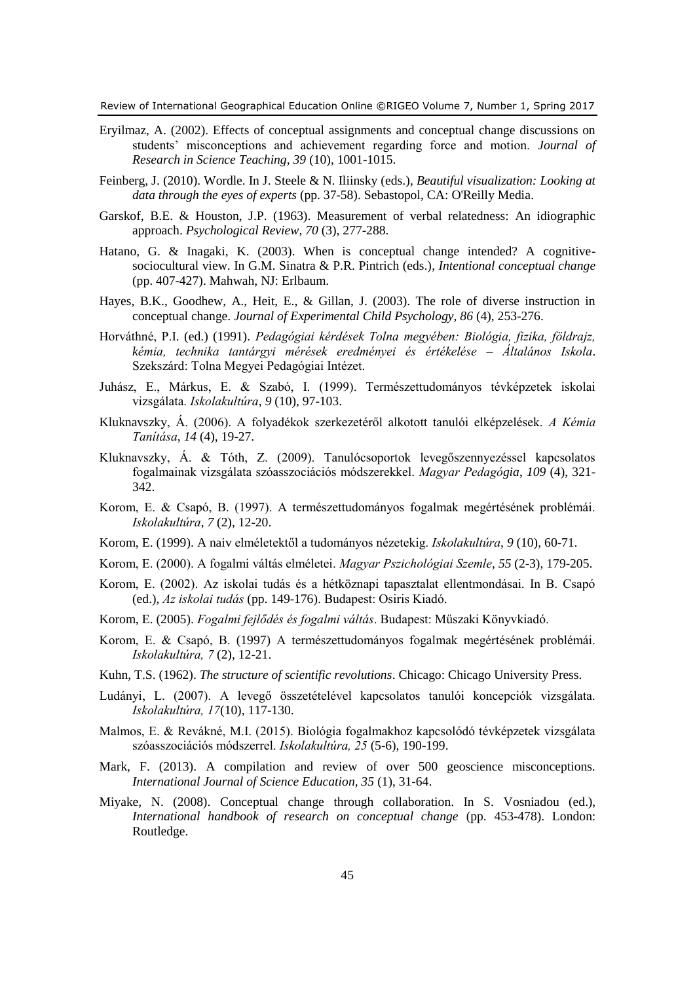- Eryilmaz, A. (2002). Effects of conceptual assignments and conceptual change discussions on students' misconceptions and achievement regarding force and motion. *Journal of Research in Science Teaching, 39* (10), 1001-1015.
- Feinberg, J. (2010). Wordle. In J. Steele & N. Iliinsky (eds.), *Beautiful visualization: Looking at data through the eyes of experts* (pp. 37-58). Sebastopol, CA: O'Reilly Media.
- Garskof, B.E. & Houston, J.P. (1963). Measurement of verbal relatedness: An idiographic approach. *Psychological Review*, *70* (3), 277-288.
- Hatano, G. & Inagaki, K. (2003). When is conceptual change intended? A cognitivesociocultural view. In G.M. Sinatra & P.R. Pintrich (eds.), *Intentional conceptual change* (pp. 407-427). Mahwah, NJ: Erlbaum.
- Hayes, B.K., Goodhew, A., Heit, E., & Gillan, J. (2003). The role of diverse instruction in conceptual change. *Journal of Experimental Child Psychology, 86* (4), 253-276.
- Horváthné, P.I. (ed.) (1991). *Pedagógiai kérdések Tolna megyében: Biológia, fizika, földrajz, kémia, technika tantárgyi mérések eredményei és értékelése – Általános Iskola*. Szekszárd: Tolna Megyei Pedagógiai Intézet.
- Juhász, E., Márkus, E. & Szabó, I. (1999). Természettudományos tévképzetek iskolai vizsgálata. *Iskolakultúra*, *9* (10), 97-103.
- Kluknavszky, Á. (2006). A folyadékok szerkezetéről alkotott tanulói elképzelések. *A Kémia Tanítása*, *14* (4), 19-27.
- Kluknavszky, Á. & Tóth, Z. (2009). Tanulócsoportok levegőszennyezéssel kapcsolatos fogalmainak vizsgálata szóasszociációs módszerekkel. *Magyar Pedagógia*, *109* (4), 321- 342.
- Korom, E. & Csapó, B. (1997). A természettudományos fogalmak megértésének problémái. *Iskolakultúra*, *7* (2), 12-20.
- Korom, E. (1999). A naiv elméletektől a tudományos nézetekig. *Iskolakultúra*, *9* (10), 60-71.
- Korom, E. (2000). A fogalmi váltás elméletei. *Magyar Pszichológiai Szemle*, *55* (2-3), 179-205.
- Korom, E. (2002). Az iskolai tudás és a hétköznapi tapasztalat ellentmondásai. In B. Csapó (ed.), *Az iskolai tudás* (pp. 149-176). Budapest: Osiris Kiadó.
- Korom, E. (2005). *Fogalmi fejlődés és fogalmi váltás*. Budapest: Műszaki Könyvkiadó.
- Korom, E. & Csapó, B. (1997) A természettudományos fogalmak megértésének problémái. *Iskolakultúra, 7* (2), 12-21.
- Kuhn, T.S. (1962). *The structure of scientific revolutions*. Chicago: Chicago University Press.
- Ludányi, L. (2007). A levegő összetételével kapcsolatos tanulói koncepciók vizsgálata. *Iskolakultúra, 17*(10), 117-130.
- Malmos, E. & Revákné, M.I. (2015). Biológia fogalmakhoz kapcsolódó tévképzetek vizsgálata szóasszociációs módszerrel. *Iskolakultúra, 25* (5-6), 190-199.
- Mark, F. (2013). A compilation and review of over 500 geoscience misconceptions. *International Journal of Science Education, 35* (1), 31-64.
- Miyake, N. (2008). Conceptual change through collaboration. In S. Vosniadou (ed.), *International handbook of research on conceptual change* (pp. 453-478). London: Routledge.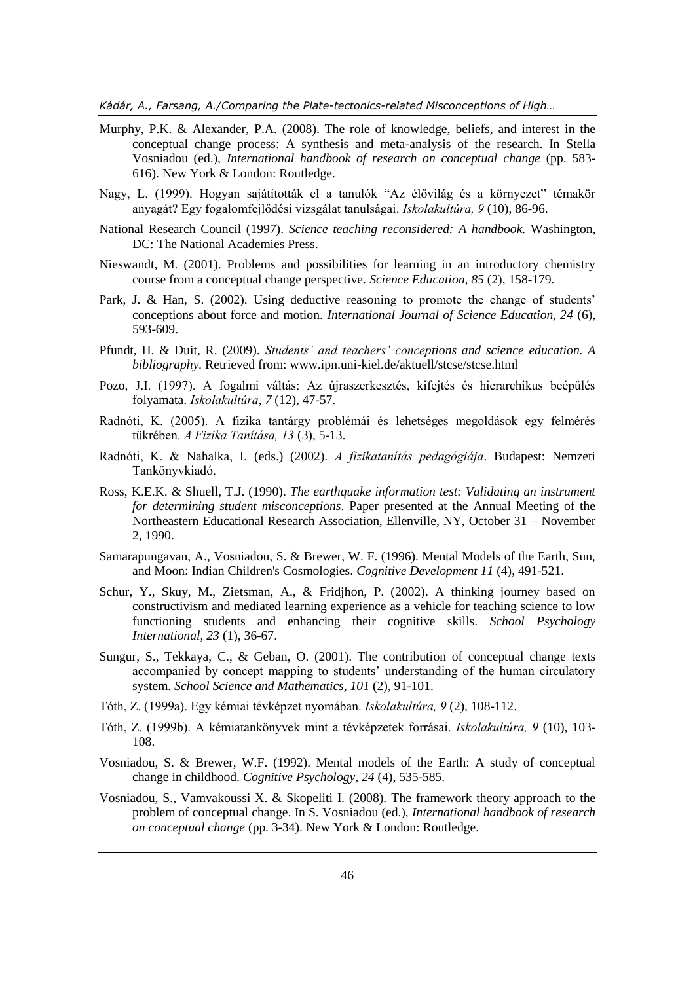*Kádár, A., Farsang, A./Comparing the Plate-tectonics-related Misconceptions of High…*

- Murphy, P.K. & Alexander, P.A. (2008). The role of knowledge, beliefs, and interest in the conceptual change process: A synthesis and meta-analysis of the research. In Stella Vosniadou (ed.), *International handbook of research on conceptual change* (pp. 583- 616). New York & London: Routledge.
- Nagy, L. (1999). Hogyan sajátították el a tanulók "Az élővilág és a környezet" témakör anyagát? Egy fogalomfejlődési vizsgálat tanulságai. *Iskolakultúra, 9* (10), 86-96.
- National Research Council (1997). *Science teaching reconsidered: A handbook.* Washington, DC: The National Academies Press.
- Nieswandt, M. (2001). Problems and possibilities for learning in an introductory chemistry course from a conceptual change perspective. *Science Education, 85* (2), 158-179.
- Park, J. & Han, S. (2002). Using deductive reasoning to promote the change of students' conceptions about force and motion. *International Journal of Science Education, 24* (6), 593-609.
- Pfundt, H. & Duit, R. (2009). *Students' and teachers' conceptions and science education. A bibliography.* Retrieved from: [www.ipn.uni-kiel.de/aktuell/stcse/stcse.html](http://www.ipn.uni-kiel.de/aktuell/stcse/stcse.html)
- Pozo, J.I. (1997). A fogalmi váltás: Az újraszerkesztés, kifejtés és hierarchikus beépülés folyamata. *Iskolakultúra*, *7* (12), 47-57.
- Radnóti, K. (2005). A fizika tantárgy problémái és lehetséges megoldások egy felmérés tükrében. *A Fizika Tanítása, 13* (3), 5-13.
- Radnóti, K. & Nahalka, I. (eds.) (2002). *A fizikatanítás pedagógiája*. Budapest: Nemzeti Tankönyvkiadó.
- Ross, K.E.K. & Shuell, T.J. (1990). *The earthquake information test: Validating an instrument for determining student misconceptions*. Paper presented at the Annual Meeting of the Northeastern Educational Research Association, Ellenville, NY, October 31 – November 2, 1990.
- Samarapungavan, A., Vosniadou, S. & Brewer, W. F. (1996). Mental Models of the Earth, Sun, and Moon: Indian Children's Cosmologies. *Cognitive Development 11* (4), 491-521.
- Schur, Y., Skuy, M., Zietsman, A., & Fridjhon, P. (2002). A thinking journey based on constructivism and mediated learning experience as a vehicle for teaching science to low functioning students and enhancing their cognitive skills. *School Psychology International, 23* (1), 36-67.
- Sungur, S., Tekkaya, C., & Geban, O. (2001). The contribution of conceptual change texts accompanied by concept mapping to students' understanding of the human circulatory system. *School Science and Mathematics, 101* (2), 91-101.
- Tóth, Z. (1999a). Egy kémiai tévképzet nyomában. *Iskolakultúra, 9* (2), 108-112.
- Tóth, Z. (1999b). A kémiatankönyvek mint a tévképzetek forrásai. *Iskolakultúra, 9* (10), 103- 108.
- Vosniadou, S. & Brewer, W.F. (1992). Mental models of the Earth: A study of conceptual change in childhood. *Cognitive Psychology, 24* (4), 535-585.
- Vosniadou, S., Vamvakoussi X. & Skopeliti I. (2008). The framework theory approach to the problem of conceptual change. In S. Vosniadou (ed.), *International handbook of research on conceptual change* (pp. 3-34). New York & London: Routledge.